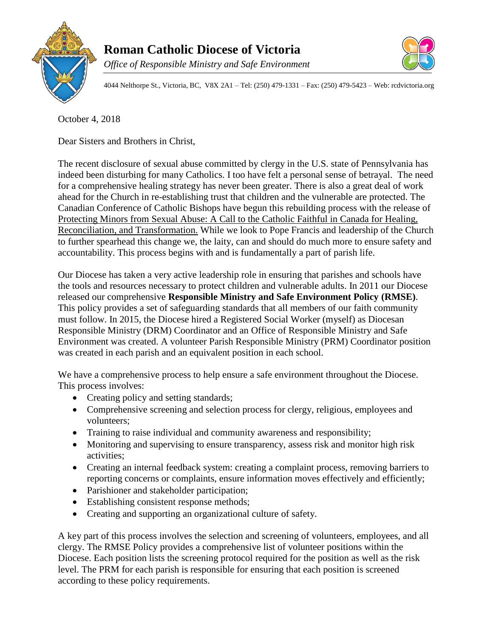



4044 Nelthorpe St., Victoria, BC, V8X 2A1 – Tel: (250) 479-1331 – Fax: (250) 479-5423 – Web: rcdvictoria.org

October 4, 2018

Dear Sisters and Brothers in Christ,

The recent disclosure of sexual abuse committed by clergy in the U.S. state of Pennsylvania has indeed been disturbing for many Catholics. I too have felt a personal sense of betrayal. The need for a comprehensive healing strategy has never been greater. There is also a great deal of work ahead for the Church in re-establishing trust that children and the vulnerable are protected. The Canadian Conference of Catholic Bishops have begun this rebuilding process with the release of Protecting Minors from Sexual Abuse: A Call to the Catholic Faithful in Canada for Healing, Reconciliation, and Transformation. While we look to Pope Francis and leadership of the Church to further spearhead this change we, the laity, can and should do much more to ensure safety and accountability. This process begins with and is fundamentally a part of parish life.

Our Diocese has taken a very active leadership role in ensuring that parishes and schools have the tools and resources necessary to protect children and vulnerable adults. In 2011 our Diocese released our comprehensive **Responsible Ministry and Safe Environment Policy (RMSE)**. This policy provides a set of safeguarding standards that all members of our faith community must follow. In 2015, the Diocese hired a Registered Social Worker (myself) as Diocesan Responsible Ministry (DRM) Coordinator and an Office of Responsible Ministry and Safe Environment was created. A volunteer Parish Responsible Ministry (PRM) Coordinator position was created in each parish and an equivalent position in each school.

We have a comprehensive process to help ensure a safe environment throughout the Diocese. This process involves:

- Creating policy and setting standards;
- Comprehensive screening and selection process for clergy, religious, employees and volunteers;
- Training to raise individual and community awareness and responsibility;
- Monitoring and supervising to ensure transparency, assess risk and monitor high risk activities;
- Creating an internal feedback system: creating a complaint process, removing barriers to reporting concerns or complaints, ensure information moves effectively and efficiently;
- Parishioner and stakeholder participation;
- Establishing consistent response methods;
- Creating and supporting an organizational culture of safety.

A key part of this process involves the selection and screening of volunteers, employees, and all clergy. The RMSE Policy provides a comprehensive list of volunteer positions within the Diocese. Each position lists the screening protocol required for the position as well as the risk level. The PRM for each parish is responsible for ensuring that each position is screened according to these policy requirements.